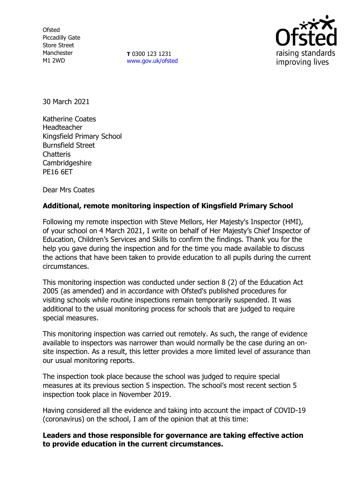**Ofsted** Piccadilly Gate Store Street Manchester M1 2WD

**T** 0300 123 1231 [www.gov.uk/ofsted](http://www.gov.uk/ofsted)



30 March 2021

Katherine Coates Headteacher Kingsfield Primary School Burnsfield Street **Chatteris** Cambridgeshire PE16 6ET

Dear Mrs Coates

## **Additional, remote monitoring inspection of Kingsfield Primary School**

Following my remote inspection with Steve Mellors, Her Majesty's Inspector (HMI), of your school on 4 March 2021, I write on behalf of Her Majesty's Chief Inspector of Education, Children's Services and Skills to confirm the findings. Thank you for the help you gave during the inspection and for the time you made available to discuss the actions that have been taken to provide education to all pupils during the current circumstances.

This monitoring inspection was conducted under section 8 (2) of the Education Act 2005 (as amended) and in accordance with Ofsted's published procedures for visiting schools while routine inspections remain temporarily suspended. It was additional to the usual monitoring process for schools that are judged to require special measures.

This monitoring inspection was carried out remotely. As such, the range of evidence available to inspectors was narrower than would normally be the case during an onsite inspection. As a result, this letter provides a more limited level of assurance than our usual monitoring reports.

The inspection took place because the school was judged to require special measures at its previous section 5 inspection. The school's most recent section 5 inspection took place in November 2019.

Having considered all the evidence and taking into account the impact of COVID-19 (coronavirus) on the school, I am of the opinion that at this time:

**Leaders and those responsible for governance are taking effective action to provide education in the current circumstances.**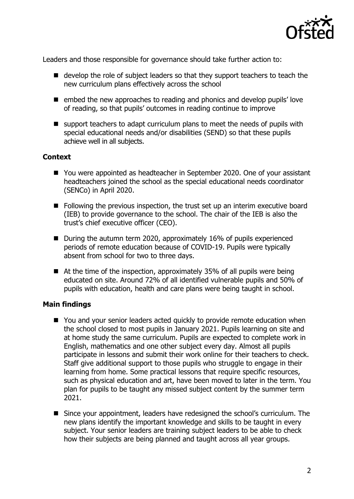

Leaders and those responsible for governance should take further action to:

- develop the role of subject leaders so that they support teachers to teach the new curriculum plans effectively across the school
- $\blacksquare$  embed the new approaches to reading and phonics and develop pupils' love of reading, so that pupils' outcomes in reading continue to improve
- support teachers to adapt curriculum plans to meet the needs of pupils with special educational needs and/or disabilities (SEND) so that these pupils achieve well in all subjects.

## **Context**

- You were appointed as headteacher in September 2020. One of your assistant headteachers joined the school as the special educational needs coordinator (SENCo) in April 2020.
- Following the previous inspection, the trust set up an interim executive board (IEB) to provide governance to the school. The chair of the IEB is also the trust's chief executive officer (CEO).
- During the autumn term 2020, approximately 16% of pupils experienced periods of remote education because of COVID-19. Pupils were typically absent from school for two to three days.
- $\blacksquare$  At the time of the inspection, approximately 35% of all pupils were being educated on site. Around 72% of all identified vulnerable pupils and 50% of pupils with education, health and care plans were being taught in school.

## **Main findings**

- You and your senior leaders acted quickly to provide remote education when the school closed to most pupils in January 2021. Pupils learning on site and at home study the same curriculum. Pupils are expected to complete work in English, mathematics and one other subject every day. Almost all pupils participate in lessons and submit their work online for their teachers to check. Staff give additional support to those pupils who struggle to engage in their learning from home. Some practical lessons that require specific resources, such as physical education and art, have been moved to later in the term. You plan for pupils to be taught any missed subject content by the summer term 2021.
- Since your appointment, leaders have redesigned the school's curriculum. The new plans identify the important knowledge and skills to be taught in every subject. Your senior leaders are training subject leaders to be able to check how their subjects are being planned and taught across all year groups.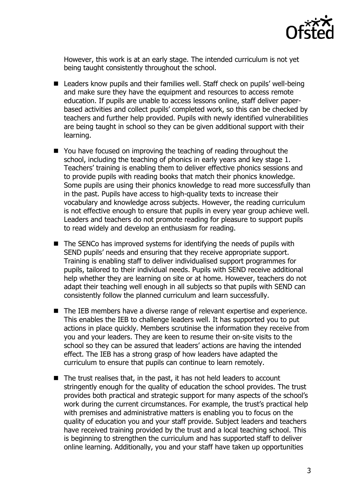

However, this work is at an early stage. The intended curriculum is not yet being taught consistently throughout the school.

- Leaders know pupils and their families well. Staff check on pupils' well-being and make sure they have the equipment and resources to access remote education. If pupils are unable to access lessons online, staff deliver paperbased activities and collect pupils' completed work, so this can be checked by teachers and further help provided. Pupils with newly identified vulnerabilities are being taught in school so they can be given additional support with their learning.
- You have focused on improving the teaching of reading throughout the school, including the teaching of phonics in early years and key stage 1. Teachers' training is enabling them to deliver effective phonics sessions and to provide pupils with reading books that match their phonics knowledge. Some pupils are using their phonics knowledge to read more successfully than in the past. Pupils have access to high-quality texts to increase their vocabulary and knowledge across subjects. However, the reading curriculum is not effective enough to ensure that pupils in every year group achieve well. Leaders and teachers do not promote reading for pleasure to support pupils to read widely and develop an enthusiasm for reading.
- $\blacksquare$  The SENCo has improved systems for identifying the needs of pupils with SEND pupils' needs and ensuring that they receive appropriate support. Training is enabling staff to deliver individualised support programmes for pupils, tailored to their individual needs. Pupils with SEND receive additional help whether they are learning on site or at home. However, teachers do not adapt their teaching well enough in all subjects so that pupils with SEND can consistently follow the planned curriculum and learn successfully.
- The IEB members have a diverse range of relevant expertise and experience. This enables the IEB to challenge leaders well. It has supported you to put actions in place quickly. Members scrutinise the information they receive from you and your leaders. They are keen to resume their on-site visits to the school so they can be assured that leaders' actions are having the intended effect. The IEB has a strong grasp of how leaders have adapted the curriculum to ensure that pupils can continue to learn remotely.
- The trust realises that, in the past, it has not held leaders to account stringently enough for the quality of education the school provides. The trust provides both practical and strategic support for many aspects of the school's work during the current circumstances. For example, the trust's practical help with premises and administrative matters is enabling you to focus on the quality of education you and your staff provide. Subject leaders and teachers have received training provided by the trust and a local teaching school. This is beginning to strengthen the curriculum and has supported staff to deliver online learning. Additionally, you and your staff have taken up opportunities